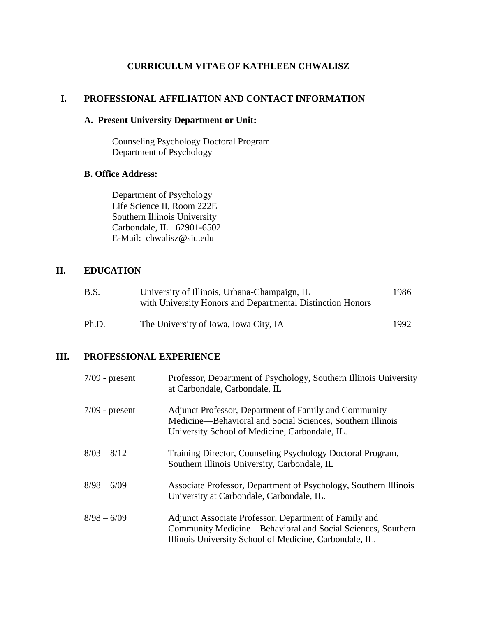# **CURRICULUM VITAE OF KATHLEEN CHWALISZ**

### **I. PROFESSIONAL AFFILIATION AND CONTACT INFORMATION**

# **A. Present University Department or Unit:**

Counseling Psychology Doctoral Program Department of Psychology

## **B. Office Address:**

Department of Psychology Life Science II, Room 222E Southern Illinois University Carbondale, IL 62901-6502 E-Mail: chwalisz@siu.edu

## **II. EDUCATION**

| B.S.  | University of Illinois, Urbana-Champaign, IL<br>with University Honors and Departmental Distinction Honors |       |
|-------|------------------------------------------------------------------------------------------------------------|-------|
| Ph.D. | The University of Iowa, Iowa City, IA                                                                      | 1992. |

### **III. PROFESSIONAL EXPERIENCE**

| $7/09$ - present | Professor, Department of Psychology, Southern Illinois University<br>at Carbondale, Carbondale, IL                                                                              |
|------------------|---------------------------------------------------------------------------------------------------------------------------------------------------------------------------------|
| $7/09$ - present | Adjunct Professor, Department of Family and Community<br>Medicine—Behavioral and Social Sciences, Southern Illinois<br>University School of Medicine, Carbondale, IL.           |
| $8/03 - 8/12$    | Training Director, Counseling Psychology Doctoral Program,<br>Southern Illinois University, Carbondale, IL                                                                      |
| $8/98 - 6/09$    | Associate Professor, Department of Psychology, Southern Illinois<br>University at Carbondale, Carbondale, IL.                                                                   |
| $8/98 - 6/09$    | Adjunct Associate Professor, Department of Family and<br>Community Medicine—Behavioral and Social Sciences, Southern<br>Illinois University School of Medicine, Carbondale, IL. |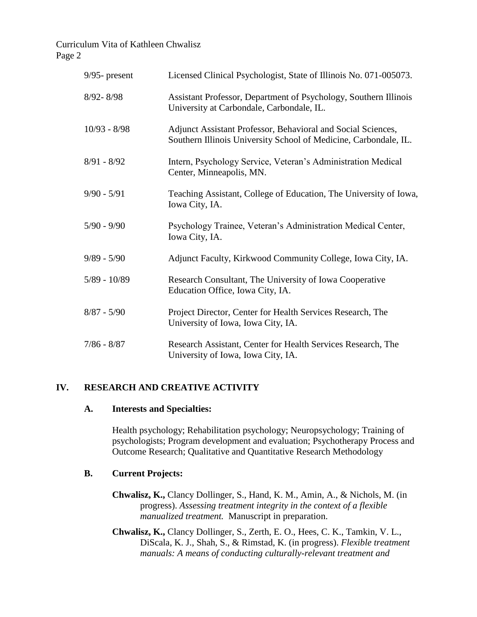| $9/95$ - present | Licensed Clinical Psychologist, State of Illinois No. 071-005073.                                                                |
|------------------|----------------------------------------------------------------------------------------------------------------------------------|
| $8/92 - 8/98$    | Assistant Professor, Department of Psychology, Southern Illinois<br>University at Carbondale, Carbondale, IL.                    |
| $10/93 - 8/98$   | Adjunct Assistant Professor, Behavioral and Social Sciences,<br>Southern Illinois University School of Medicine, Carbondale, IL. |
| $8/91 - 8/92$    | Intern, Psychology Service, Veteran's Administration Medical<br>Center, Minneapolis, MN.                                         |
| $9/90 - 5/91$    | Teaching Assistant, College of Education, The University of Iowa,<br>Iowa City, IA.                                              |
| $5/90 - 9/90$    | Psychology Trainee, Veteran's Administration Medical Center,<br>Iowa City, IA.                                                   |
| $9/89 - 5/90$    | Adjunct Faculty, Kirkwood Community College, Iowa City, IA.                                                                      |
| $5/89 - 10/89$   | Research Consultant, The University of Iowa Cooperative<br>Education Office, Iowa City, IA.                                      |
| $8/87 - 5/90$    | Project Director, Center for Health Services Research, The<br>University of Iowa, Iowa City, IA.                                 |
| $7/86 - 8/87$    | Research Assistant, Center for Health Services Research, The<br>University of Iowa, Iowa City, IA.                               |

### **IV. RESEARCH AND CREATIVE ACTIVITY**

#### **A. Interests and Specialties:**

Health psychology; Rehabilitation psychology; Neuropsychology; Training of psychologists; Program development and evaluation; Psychotherapy Process and Outcome Research; Qualitative and Quantitative Research Methodology

### **B. Current Projects:**

- **Chwalisz, K.,** Clancy Dollinger, S., Hand, K. M., Amin, A., & Nichols, M. (in progress). *Assessing treatment integrity in the context of a flexible manualized treatment.* Manuscript in preparation.
- **Chwalisz, K.,** Clancy Dollinger, S., Zerth, E. O., Hees, C. K., Tamkin, V. L., DiScala, K. J., Shah, S., & Rimstad, K. (in progress). *Flexible treatment manuals: A means of conducting culturally-relevant treatment and*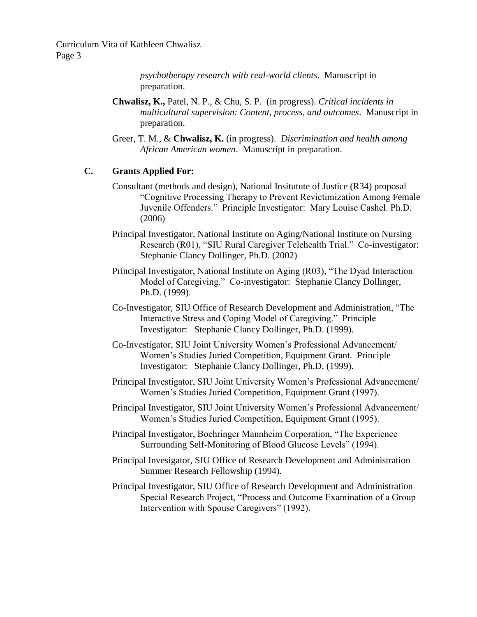> *psychotherapy research with real-world clients*. Manuscript in preparation.

- **Chwalisz, K.,** Patel, N. P., & Chu, S. P. (in progress). *Critical incidents in multicultural supervision: Content, process, and outcomes*. Manuscript in preparation.
- Greer, T. M., & **Chwalisz, K.** (in progress). *Discrimination and health among African American women*. Manuscript in preparation.

#### **C. Grants Applied For:**

- Consultant (methods and design), National Insitutute of Justice (R34) proposal "Cognitive Processing Therapy to Prevent Revictimization Among Female Juvenile Offenders." Principle Investigator: Mary Louise Cashel. Ph.D. (2006)
- Principal Investigator, National Institute on Aging/National Institute on Nursing Research (R01), "SIU Rural Caregiver Telehealth Trial." Co-investigator: Stephanie Clancy Dollinger, Ph.D. (2002)
- Principal Investigator, National Institute on Aging (R03), "The Dyad Interaction Model of Caregiving." Co-investigator: Stephanie Clancy Dollinger, Ph.D. (1999).
- Co-Investigator, SIU Office of Research Development and Administration, "The Interactive Stress and Coping Model of Caregiving." Principle Investigator: Stephanie Clancy Dollinger, Ph.D. (1999).
- Co-Investigator, SIU Joint University Women's Professional Advancement/ Women's Studies Juried Competition, Equipment Grant. Principle Investigator: Stephanie Clancy Dollinger, Ph.D. (1999).
- Principal Investigator, SIU Joint University Women's Professional Advancement/ Women's Studies Juried Competition, Equipment Grant (1997).
- Principal Investigator, SIU Joint University Women's Professional Advancement/ Women's Studies Juried Competition, Equipment Grant (1995).
- Principal Investigator, Boehringer Mannheim Corporation, "The Experience Surrounding Self-Monitoring of Blood Glucose Levels" (1994).
- Principal Invesigator, SIU Office of Research Development and Administration Summer Research Fellowship (1994).
- Principal Investigator, SIU Office of Research Development and Administration Special Research Project, "Process and Outcome Examination of a Group Intervention with Spouse Caregivers" (1992).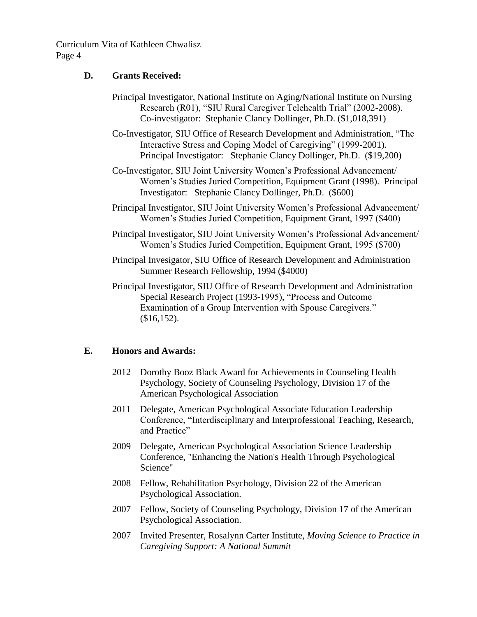# **D. Grants Received:**

Principal Investigator, National Institute on Aging/National Institute on Nursing Research (R01), "SIU Rural Caregiver Telehealth Trial" (2002-2008). Co-investigator: Stephanie Clancy Dollinger, Ph.D. (\$1,018,391)

Co-Investigator, SIU Office of Research Development and Administration, "The Interactive Stress and Coping Model of Caregiving" (1999-2001). Principal Investigator: Stephanie Clancy Dollinger, Ph.D. (\$19,200)

- Co-Investigator, SIU Joint University Women's Professional Advancement/ Women's Studies Juried Competition, Equipment Grant (1998). Principal Investigator: Stephanie Clancy Dollinger, Ph.D. (\$600)
- Principal Investigator, SIU Joint University Women's Professional Advancement/ Women's Studies Juried Competition, Equipment Grant, 1997 (\$400)
- Principal Investigator, SIU Joint University Women's Professional Advancement/ Women's Studies Juried Competition, Equipment Grant, 1995 (\$700)
- Principal Invesigator, SIU Office of Research Development and Administration Summer Research Fellowship, 1994 (\$4000)
- Principal Investigator, SIU Office of Research Development and Administration Special Research Project (1993-1995), "Process and Outcome Examination of a Group Intervention with Spouse Caregivers." (\$16,152).

# **E. Honors and Awards:**

- 2012 Dorothy Booz Black Award for Achievements in Counseling Health Psychology, Society of Counseling Psychology, Division 17 of the American Psychological Association
- 2011 Delegate, American Psychological Associate Education Leadership Conference, "Interdisciplinary and Interprofessional Teaching, Research, and Practice"
- 2009 Delegate, American Psychological Association Science Leadership Conference, "Enhancing the Nation's Health Through Psychological Science"
- 2008 Fellow, Rehabilitation Psychology, Division 22 of the American Psychological Association.
- 2007 Fellow, Society of Counseling Psychology, Division 17 of the American Psychological Association.
- 2007 Invited Presenter, Rosalynn Carter Institute, *Moving Science to Practice in Caregiving Support: A National Summit*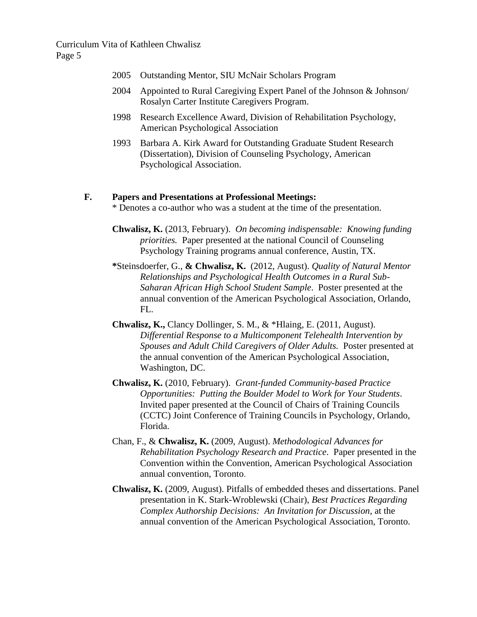- 2005 Outstanding Mentor, SIU McNair Scholars Program
- 2004 Appointed to Rural Caregiving Expert Panel of the Johnson & Johnson/ Rosalyn Carter Institute Caregivers Program.
- 1998 Research Excellence Award, Division of Rehabilitation Psychology, American Psychological Association
- 1993 Barbara A. Kirk Award for Outstanding Graduate Student Research (Dissertation), Division of Counseling Psychology, American Psychological Association.

### **F. Papers and Presentations at Professional Meetings:**

\* Denotes a co-author who was a student at the time of the presentation.

**Chwalisz, K.** (2013, February). *On becoming indispensable: Knowing funding priorities.* Paper presented at the national Council of Counseling Psychology Training programs annual conference, Austin, TX.

- **\***Steinsdoerfer, G., **& Chwalisz, K.** (2012, August). *Quality of Natural Mentor Relationships and Psychological Health Outcomes in a Rural Sub-Saharan African High School Student Sample*. Poster presented at the annual convention of the American Psychological Association, Orlando, FL.
- **Chwalisz, K.,** Clancy Dollinger, S. M., & \*Hlaing, E. (2011, August). *Differential Response to a Multicomponent Telehealth Intervention by Spouses and Adult Child Caregivers of Older Adults.* Poster presented at the annual convention of the American Psychological Association, Washington, DC.
- **Chwalisz, K.** (2010, February). *Grant-funded Community-based Practice Opportunities: Putting the Boulder Model to Work for Your Students*. Invited paper presented at the Council of Chairs of Training Councils (CCTC) Joint Conference of Training Councils in Psychology, Orlando, Florida.
- Chan, F., & **Chwalisz, K.** (2009, August). *Methodological Advances for Rehabilitation Psychology Research and Practice*. Paper presented in the Convention within the Convention, American Psychological Association annual convention, Toronto.
- **Chwalisz, K.** (2009, August). Pitfalls of embedded theses and dissertations. Panel presentation in K. Stark-Wroblewski (Chair), *Best Practices Regarding Complex Authorship Decisions: An Invitation for Discussion*, at the annual convention of the American Psychological Association, Toronto.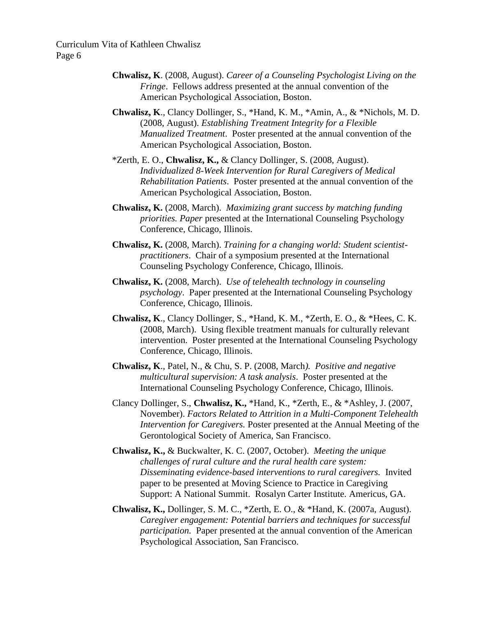- **Chwalisz, K**. (2008, August). *Career of a Counseling Psychologist Living on the Fringe*. Fellows address presented at the annual convention of the American Psychological Association, Boston.
- **Chwalisz, K**., Clancy Dollinger, S., \*Hand, K. M., \*Amin, A., & \*Nichols, M. D. (2008, August). *Establishing Treatment Integrity for a Flexible Manualized Treatment*. Poster presented at the annual convention of the American Psychological Association, Boston.
- \*Zerth, E. O., **Chwalisz, K.,** & Clancy Dollinger, S. (2008, August). *Individualized 8-Week Intervention for Rural Caregivers of Medical Rehabilitation Patients*. Poster presented at the annual convention of the American Psychological Association, Boston.
- **Chwalisz, K.** (2008, March). *Maximizing grant success by matching funding priorities. Paper* presented at the International Counseling Psychology Conference, Chicago, Illinois.
- **Chwalisz, K.** (2008, March). *Training for a changing world: Student scientistpractitioners*. Chair of a symposium presented at the International Counseling Psychology Conference, Chicago, Illinois.
- **Chwalisz, K.** (2008, March). *Use of telehealth technology in counseling psychology*. Paper presented at the International Counseling Psychology Conference, Chicago, Illinois.
- **Chwalisz, K**., Clancy Dollinger, S., \*Hand, K. M., \*Zerth, E. O., & \*Hees, C. K. (2008, March). Using flexible treatment manuals for culturally relevant intervention. Poster presented at the International Counseling Psychology Conference, Chicago, Illinois.
- **Chwalisz, K**., Patel, N., & Chu, S. P. (2008, March*). Positive and negative multicultural supervision: A task analysis*. Poster presented at the International Counseling Psychology Conference, Chicago, Illinois.
- Clancy Dollinger, S., **Chwalisz, K.,** \*Hand, K., \*Zerth, E., & \*Ashley, J. (2007, November). *Factors Related to Attrition in a Multi-Component Telehealth Intervention for Caregivers.* Poster presented at the Annual Meeting of the Gerontological Society of America, San Francisco.
- **Chwalisz, K.,** & Buckwalter, K. C. (2007, October). *Meeting the unique challenges of rural culture and the rural health care system: Disseminating evidence-based interventions to rural caregivers.* Invited paper to be presented at Moving Science to Practice in Caregiving Support: A National Summit. Rosalyn Carter Institute. Americus, GA.
- **Chwalisz, K.,** Dollinger, S. M. C., \*Zerth, E. O., & \*Hand, K. (2007a, August). *Caregiver engagement: Potential barriers and techniques for successful participation.* Paper presented at the annual convention of the American Psychological Association, San Francisco.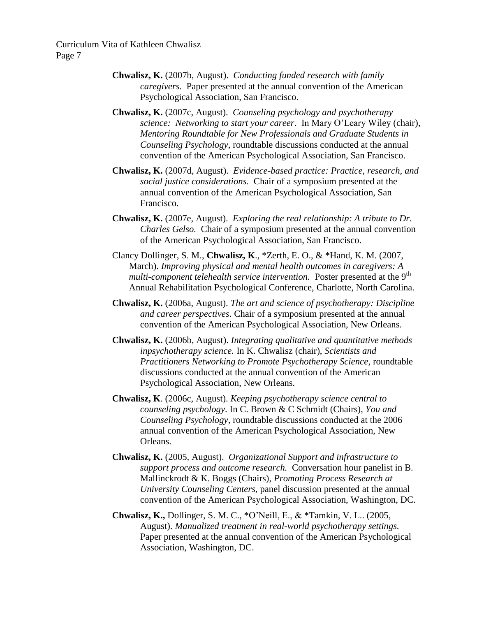- **Chwalisz, K.** (2007b, August). *Conducting funded research with family caregivers.* Paper presented at the annual convention of the American Psychological Association, San Francisco.
- **Chwalisz, K.** (2007c, August). *Counseling psychology and psychotherapy science: Networking to start your career*. In Mary O'Leary Wiley (chair), *Mentoring Roundtable for New Professionals and Graduate Students in Counseling Psychology*, roundtable discussions conducted at the annual convention of the American Psychological Association, San Francisco.
- **Chwalisz, K.** (2007d, August). *Evidence-based practice: Practice, research, and social justice considerations.* Chair of a symposium presented at the annual convention of the American Psychological Association, San Francisco.
- **Chwalisz, K.** (2007e, August). *Exploring the real relationship: A tribute to Dr. Charles Gelso.* Chair of a symposium presented at the annual convention of the American Psychological Association, San Francisco.
- Clancy Dollinger, S. M., **Chwalisz, K**., \*Zerth, E. O., & \*Hand, K. M. (2007, March). *Improving physical and mental health outcomes in caregivers: A multi-component telehealth service intervention.* Poster presented at the 9<sup>th</sup> Annual Rehabilitation Psychological Conference, Charlotte, North Carolina.
- **Chwalisz, K.** (2006a, August). *The art and science of psychotherapy: Discipline and career perspectives*. Chair of a symposium presented at the annual convention of the American Psychological Association, New Orleans.
- **Chwalisz, K.** (2006b, August). *Integrating qualitative and quantitative methods inpsychotherapy science.* In K. Chwalisz (chair), *Scientists and Practitioners Networking to Promote Psychotherapy Science*, roundtable discussions conducted at the annual convention of the American Psychological Association, New Orleans.
- **Chwalisz, K**. (2006c, August). *Keeping psychotherapy science central to counseling psychology*. In C. Brown & C Schmidt (Chairs), *You and Counseling Psychology*, roundtable discussions conducted at the 2006 annual convention of the American Psychological Association, New Orleans.
- **Chwalisz, K.** (2005, August). *Organizational Support and infrastructure to support process and outcome research.* Conversation hour panelist in B. Mallinckrodt & K. Boggs (Chairs), *Promoting Process Research at University Counseling Centers*, panel discussion presented at the annual convention of the American Psychological Association, Washington, DC.
- **Chwalisz, K.,** Dollinger, S. M. C., \*O'Neill, E., & \*Tamkin, V. L.. (2005, August). *Manualized treatment in real-world psychotherapy settings.*  Paper presented at the annual convention of the American Psychological Association, Washington, DC.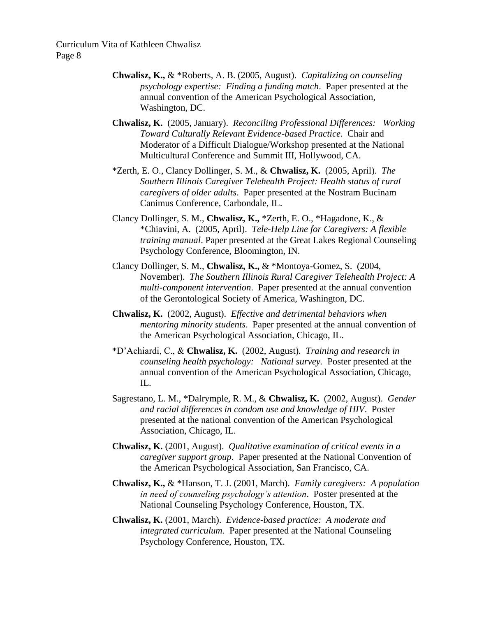- **Chwalisz, K.,** & \*Roberts, A. B. (2005, August). *Capitalizing on counseling psychology expertise: Finding a funding match*. Paper presented at the annual convention of the American Psychological Association, Washington, DC.
- **Chwalisz, K.** (2005, January). *Reconciling Professional Differences: Working Toward Culturally Relevant Evidence-based Practice*. Chair and Moderator of a Difficult Dialogue/Workshop presented at the National Multicultural Conference and Summit III, Hollywood, CA.
- \*Zerth, E. O., Clancy Dollinger, S. M., & **Chwalisz, K.** (2005, April). *The Southern Illinois Caregiver Telehealth Project: Health status of rural caregivers of older adults*. Paper presented at the Nostram Bucinam Canimus Conference, Carbondale, IL.
- Clancy Dollinger, S. M., **Chwalisz, K.,** \*Zerth, E. O., \*Hagadone, K., & \*Chiavini, A. (2005, April). *Tele-Help Line for Caregivers: A flexible training manual*. Paper presented at the Great Lakes Regional Counseling Psychology Conference, Bloomington, IN.
- Clancy Dollinger, S. M., **Chwalisz, K.,** & \*Montoya-Gomez, S. (2004, November). *The Southern Illinois Rural Caregiver Telehealth Project: A multi-component intervention*. Paper presented at the annual convention of the Gerontological Society of America, Washington, DC.
- **Chwalisz, K.** (2002, August). *Effective and detrimental behaviors when mentoring minority students*. Paper presented at the annual convention of the American Psychological Association, Chicago, IL.
- \*D'Achiardi, C., & **Chwalisz, K.** (2002, August)*. Training and research in counseling health psychology: National survey.* Poster presented at the annual convention of the American Psychological Association, Chicago, IL.
- Sagrestano, L. M., \*Dalrymple, R. M., & **Chwalisz, K.** (2002, August). *Gender and racial differences in condom use and knowledge of HIV*. Poster presented at the national convention of the American Psychological Association, Chicago, IL.
- **Chwalisz, K.** (2001, August). *Qualitative examination of critical events in a caregiver support group*. Paper presented at the National Convention of the American Psychological Association, San Francisco, CA.
- **Chwalisz, K.,** & \*Hanson, T. J. (2001, March). *Family caregivers: A population in need of counseling psychology's attention*. Poster presented at the National Counseling Psychology Conference, Houston, TX.
- **Chwalisz, K.** (2001, March). *Evidence-based practice: A moderate and integrated curriculum.* Paper presented at the National Counseling Psychology Conference, Houston, TX.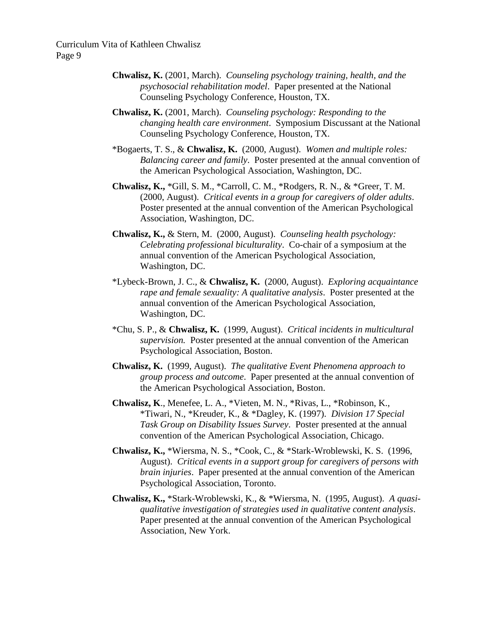- **Chwalisz, K.** (2001, March). *Counseling psychology training, health, and the psychosocial rehabilitation model*. Paper presented at the National Counseling Psychology Conference, Houston, TX.
- **Chwalisz, K.** (2001, March). *Counseling psychology: Responding to the changing health care environment*. Symposium Discussant at the National Counseling Psychology Conference, Houston, TX.
- \*Bogaerts, T. S., & **Chwalisz, K.** (2000, August). *Women and multiple roles: Balancing career and family*. Poster presented at the annual convention of the American Psychological Association, Washington, DC.
- **Chwalisz, K.,** \*Gill, S. M., \*Carroll, C. M., \*Rodgers, R. N., & \*Greer, T. M. (2000, August). *Critical events in a group for caregivers of older adults*. Poster presented at the annual convention of the American Psychological Association, Washington, DC.
- **Chwalisz, K.,** & Stern, M. (2000, August). *Counseling health psychology: Celebrating professional biculturality*. Co-chair of a symposium at the annual convention of the American Psychological Association, Washington, DC.
- \*Lybeck-Brown, J. C., & **Chwalisz, K.** (2000, August). *Exploring acquaintance rape and female sexuality: A qualitative analysis*. Poster presented at the annual convention of the American Psychological Association, Washington, DC.
- \*Chu, S. P., & **Chwalisz, K.** (1999, August). *Critical incidents in multicultural supervision.* Poster presented at the annual convention of the American Psychological Association, Boston.
- **Chwalisz, K.** (1999, August). *The qualitative Event Phenomena approach to group process and outcome*. Paper presented at the annual convention of the American Psychological Association, Boston.
- **Chwalisz, K**., Menefee, L. A., \*Vieten, M. N., \*Rivas, L., \*Robinson, K., \*Tiwari, N., \*Kreuder, K., & \*Dagley, K. (1997). *Division 17 Special Task Group on Disability Issues Survey*. Poster presented at the annual convention of the American Psychological Association, Chicago.
- **Chwalisz, K.,** \*Wiersma, N. S., \*Cook, C., & \*Stark-Wroblewski, K. S. (1996, August). *Critical events in a support group for caregivers of persons with brain injuries*. Paper presented at the annual convention of the American Psychological Association, Toronto.
- **Chwalisz, K.,** \*Stark-Wroblewski, K., & \*Wiersma, N. (1995, August). *A quasiqualitative investigation of strategies used in qualitative content analysis*. Paper presented at the annual convention of the American Psychological Association, New York.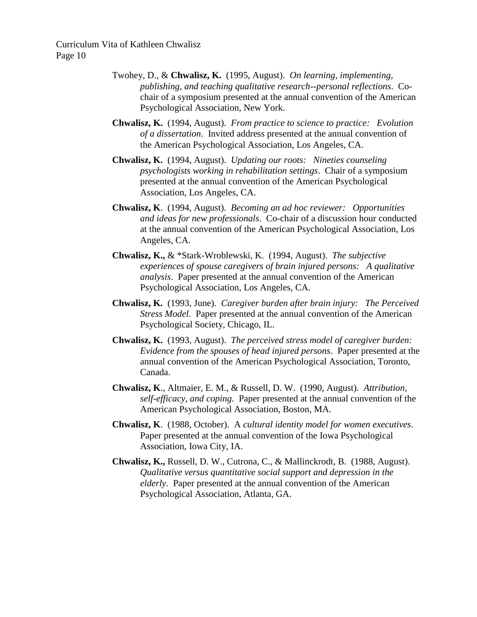- Twohey, D., & **Chwalisz, K.** (1995, August). *On learning, implementing, publishing, and teaching qualitative research--personal reflections*. Cochair of a symposium presented at the annual convention of the American Psychological Association, New York.
- **Chwalisz, K.** (1994, August). *From practice to science to practice: Evolution of a dissertation*. Invited address presented at the annual convention of the American Psychological Association, Los Angeles, CA.
- **Chwalisz, K.** (1994, August). *Updating our roots: Nineties counseling psychologists working in rehabilitation settings*. Chair of a symposium presented at the annual convention of the American Psychological Association, Los Angeles, CA.
- **Chwalisz, K**. (1994, August). *Becoming an ad hoc reviewer: Opportunities and ideas for new professionals*. Co-chair of a discussion hour conducted at the annual convention of the American Psychological Association, Los Angeles, CA.
- **Chwalisz, K.,** & \*Stark-Wroblewski, K. (1994, August). *The subjective experiences of spouse caregivers of brain injured persons: A qualitative analysis*. Paper presented at the annual convention of the American Psychological Association, Los Angeles, CA.
- **Chwalisz, K.** (1993, June). *Caregiver burden after brain injury: The Perceived Stress Model*. Paper presented at the annual convention of the American Psychological Society, Chicago, IL.
- **Chwalisz, K.** (1993, August). *The perceived stress model of caregiver burden: Evidence from the spouses of head injured persons*. Paper presented at the annual convention of the American Psychological Association, Toronto, Canada.
- **Chwalisz, K**., Altmaier, E. M., & Russell, D. W. (1990, August). *Attribution, self-efficacy, and coping*. Paper presented at the annual convention of the American Psychological Association, Boston, MA.
- **Chwalisz, K**. (1988, October). A *cultural identity model for women executives*. Paper presented at the annual convention of the Iowa Psychological Association, Iowa City, IA.
- **Chwalisz, K.,** Russell, D. W., Cutrona, C., & Mallinckrodt, B. (1988, August). *Qualitative versus quantitative social support and depression in the elderly*. Paper presented at the annual convention of the American Psychological Association, Atlanta, GA.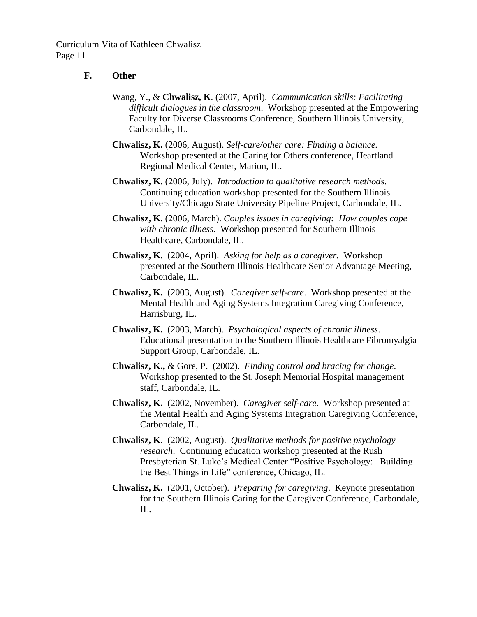## **F. Other**

- Wang, Y., & **Chwalisz, K**. (2007, April). *Communication skills: Facilitating difficult dialogues in the classroom*. Workshop presented at the Empowering Faculty for Diverse Classrooms Conference, Southern Illinois University, Carbondale, IL.
- **Chwalisz, K.** (2006, August). *Self-care/other care: Finding a balance.* Workshop presented at the Caring for Others conference, Heartland Regional Medical Center, Marion, IL.
- **Chwalisz, K.** (2006, July). *Introduction to qualitative research methods*. Continuing education workshop presented for the Southern Illinois University/Chicago State University Pipeline Project, Carbondale, IL.
- **Chwalisz, K**. (2006, March). *Couples issues in caregiving: How couples cope with chronic illness.* Workshop presented for Southern Illinois Healthcare, Carbondale, IL.
- **Chwalisz, K.** (2004, April). *Asking for help as a caregiver.* Workshop presented at the Southern Illinois Healthcare Senior Advantage Meeting, Carbondale, IL.
- **Chwalisz, K.** (2003, August). *Caregiver self-care*. Workshop presented at the Mental Health and Aging Systems Integration Caregiving Conference, Harrisburg, IL.
- **Chwalisz, K.** (2003, March). *Psychological aspects of chronic illness*. Educational presentation to the Southern Illinois Healthcare Fibromyalgia Support Group, Carbondale, IL.
- **Chwalisz, K.,** & Gore, P. (2002). *Finding control and bracing for change*. Workshop presented to the St. Joseph Memorial Hospital management staff, Carbondale, IL.
- **Chwalisz, K.** (2002, November). *Caregiver self-care*. Workshop presented at the Mental Health and Aging Systems Integration Caregiving Conference, Carbondale, IL.
- **Chwalisz, K**. (2002, August). *Qualitative methods for positive psychology research*. Continuing education workshop presented at the Rush Presbyterian St. Luke's Medical Center "Positive Psychology: Building the Best Things in Life" conference, Chicago, IL.
- **Chwalisz, K.** (2001, October). *Preparing for caregiving*. Keynote presentation for the Southern Illinois Caring for the Caregiver Conference, Carbondale, IL.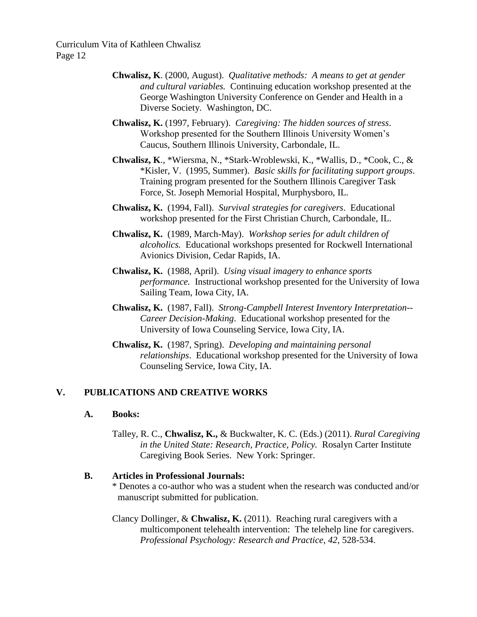- **Chwalisz, K**. (2000, August). *Qualitative methods: A means to get at gender and cultural variables.* Continuing education workshop presented at the George Washington University Conference on Gender and Health in a Diverse Society. Washington, DC.
- **Chwalisz, K.** (1997, February). *Caregiving: The hidden sources of stress*. Workshop presented for the Southern Illinois University Women's Caucus, Southern Illinois University, Carbondale, IL.
- **Chwalisz, K**., \*Wiersma, N., \*Stark-Wroblewski, K., \*Wallis, D., \*Cook, C., & \*Kisler, V. (1995, Summer). *Basic skills for facilitating support groups*. Training program presented for the Southern Illinois Caregiver Task Force, St. Joseph Memorial Hospital, Murphysboro, IL.
- **Chwalisz, K.** (1994, Fall). *Survival strategies for caregivers*. Educational workshop presented for the First Christian Church, Carbondale, IL.
- **Chwalisz, K.** (1989, March-May). *Workshop series for adult children of alcoholics.* Educational workshops presented for Rockwell International Avionics Division, Cedar Rapids, IA.
- **Chwalisz, K.** (1988, April). *Using visual imagery to enhance sports performance.* Instructional workshop presented for the University of Iowa Sailing Team, Iowa City, IA.
- **Chwalisz, K.** (1987, Fall). *Strong-Campbell Interest Inventory Interpretation-- Career Decision-Making*. Educational workshop presented for the University of Iowa Counseling Service, Iowa City, IA.
- **Chwalisz, K.** (1987, Spring). *Developing and maintaining personal relationships*. Educational workshop presented for the University of Iowa Counseling Service, Iowa City, IA.

# **V. PUBLICATIONS AND CREATIVE WORKS**

#### **A. Books:**

Talley, R. C., **Chwalisz, K.,** & Buckwalter, K. C. (Eds.) (2011). *Rural Caregiving in the United State: Research, Practice, Policy.* Rosalyn Carter Institute Caregiving Book Series. New York: Springer.

### **B. Articles in Professional Journals:**

- \* Denotes a co-author who was a student when the research was conducted and/or manuscript submitted for publication.
- Clancy Dollinger, & **Chwalisz, K.** (2011).Reaching rural caregivers with a multicomponent telehealth intervention: The telehelp line for caregivers. *Professional Psychology: Research and Practice, 42,* 528-534.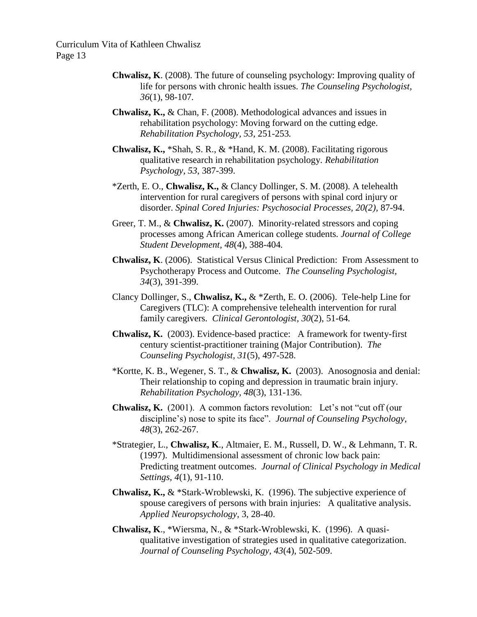- **Chwalisz, K**. (2008). The future of counseling psychology: Improving quality of life for persons with chronic health issues. *The Counseling Psychologist, 36*(1), 98-107*.*
- **Chwalisz, K.,** & Chan, F. (2008). Methodological advances and issues in rehabilitation psychology: Moving forward on the cutting edge. *Rehabilitation Psychology, 53,* 251-253*.*
- **Chwalisz, K.,** \*Shah, S. R., & \*Hand, K. M. (2008). Facilitating rigorous qualitative research in rehabilitation psychology. *Rehabilitation Psychology, 53*, 387-399.
- \*Zerth, E. O., **Chwalisz, K.,** & Clancy Dollinger, S. M. (2008). A telehealth intervention for rural caregivers of persons with spinal cord injury or disorder. *Spinal Cored Injuries: Psychosocial Processes, 20(2),* 87-94.
- Greer, T. M., & **Chwalisz, K.** (2007). Minority-related stressors and coping processes among African American college students*. Journal of College Student Development, 48*(4), 388-404*.*
- **Chwalisz, K**. (2006). Statistical Versus Clinical Prediction: From Assessment to Psychotherapy Process and Outcome. *The Counseling Psychologist, 34*(3), 391-399.
- Clancy Dollinger, S., **Chwalisz, K.,** & \*Zerth, E. O. (2006). Tele-help Line for Caregivers (TLC): A comprehensive telehealth intervention for rural family caregivers. *Clinical Gerontologist, 30*(2), 51-64*.*
- **Chwalisz, K.** (2003). Evidence-based practice: A framework for twenty-first century scientist-practitioner training (Major Contribution). *The Counseling Psychologist, 31*(5), 497-528.
- \*Kortte, K. B., Wegener, S. T., & **Chwalisz, K.** (2003). Anosognosia and denial: Their relationship to coping and depression in traumatic brain injury. *Rehabilitation Psychology, 48*(3), 131-136.
- **Chwalisz, K.** (2001). A common factors revolution: Let's not "cut off (our discipline's) nose to spite its face". *Journal of Counseling Psychology, 48*(3), 262-267.
- \*Strategier, L., **Chwalisz, K**., Altmaier, E. M., Russell, D. W., & Lehmann, T. R. (1997). Multidimensional assessment of chronic low back pain: Predicting treatment outcomes. *Journal of Clinical Psychology in Medical Settings, 4*(1), 91-110.
- **Chwalisz, K.,** & \*Stark-Wroblewski, K. (1996). The subjective experience of spouse caregivers of persons with brain injuries: A qualitative analysis. *Applied Neuropsychology,* 3, 28-40.
- **Chwalisz, K**., \*Wiersma, N., & \*Stark-Wroblewski, K. (1996). A quasiqualitative investigation of strategies used in qualitative categorization. *Journal of Counseling Psychology, 43*(4), 502-509.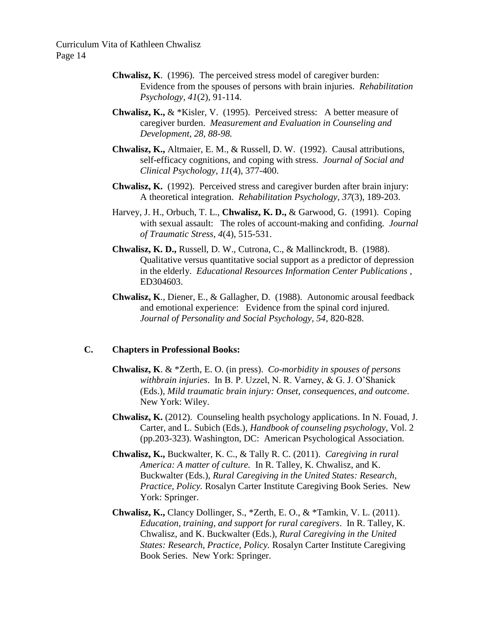- **Chwalisz, K**. (1996). The perceived stress model of caregiver burden: Evidence from the spouses of persons with brain injuries. *Rehabilitation Psychology, 41*(2), 91-114.
- **Chwalisz, K.,**  $\&$  \*Kisler, V. (1995). Perceived stress: A better measure of caregiver burden. *Measurement and Evaluation in Counseling and Development, 28, 88-98.*
- **Chwalisz, K.,** Altmaier, E. M., & Russell, D. W. (1992). Causal attributions, self-efficacy cognitions, and coping with stress. *Journal of Social and Clinical Psychology, 11*(4), 377-400.
- **Chwalisz, K.** (1992). Perceived stress and caregiver burden after brain injury: A theoretical integration. *Rehabilitation Psychology, 37*(3), 189-203.
- Harvey, J. H., Orbuch, T. L., **Chwalisz, K. D.,** & Garwood, G. (1991). Coping with sexual assault: The roles of account-making and confiding. *Journal of Traumatic Stress, 4*(4), 515-531.
- **Chwalisz, K. D.,** Russell, D. W., Cutrona, C., & Mallinckrodt, B. (1988). Qualitative versus quantitative social support as a predictor of depression in the elderly. *Educational Resources Information Center Publications* , ED304603.
- **Chwalisz, K**., Diener, E., & Gallagher, D. (1988). Autonomic arousal feedback and emotional experience: Evidence from the spinal cord injured. *Journal of Personality and Social Psychology, 54*, 820-828.

# **C. Chapters in Professional Books:**

- **Chwalisz, K**. & \*Zerth, E. O. (in press). *Co-morbidity in spouses of persons withbrain injuries*. In B. P. Uzzel, N. R. Varney, & G. J. O'Shanick (Eds.), *Mild traumatic brain injury: Onset, consequences, and outcome*. New York: Wiley.
- **Chwalisz, K.** (2012). Counseling health psychology applications. In N. Fouad, J. Carter, and L. Subich (Eds.), *Handbook of counseling psychology*, Vol. 2 (pp.203-323). Washington, DC: American Psychological Association.
- **Chwalisz, K.,** Buckwalter, K. C., & Tally R. C. (2011). *Caregiving in rural America: A matter of culture.* In R. Talley, K. Chwalisz, and K. Buckwalter (Eds.), *Rural Caregiving in the United States: Research, Practice, Policy.* Rosalyn Carter Institute Caregiving Book Series. New York: Springer.
- **Chwalisz, K.,** Clancy Dollinger, S., \*Zerth, E. O., & \*Tamkin, V. L. (2011). *Education, training, and support for rural caregivers*. In R. Talley, K. Chwalisz, and K. Buckwalter (Eds.), *Rural Caregiving in the United States: Research, Practice, Policy.* Rosalyn Carter Institute Caregiving Book Series. New York: Springer.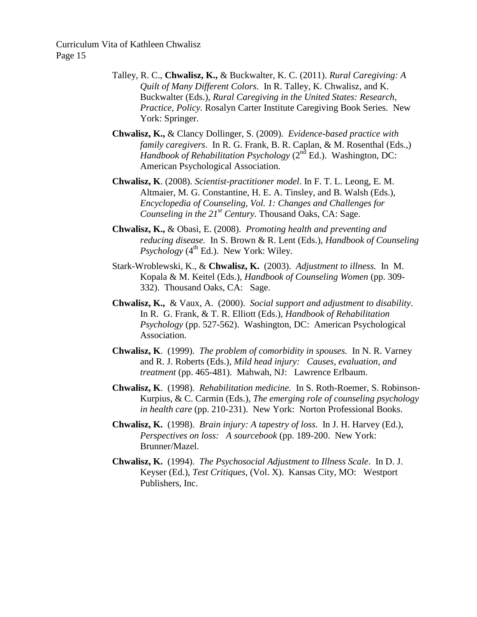- Talley, R. C., **Chwalisz, K.,** & Buckwalter, K. C. (2011). *Rural Caregiving: A Quilt of Many Different Colors*. In R. Talley, K. Chwalisz, and K. Buckwalter (Eds.), *Rural Caregiving in the United States: Research, Practice, Policy.* Rosalyn Carter Institute Caregiving Book Series. New York: Springer.
- **Chwalisz, K.,** & Clancy Dollinger, S. (2009). *Evidence-based practice with family caregivers*. In R. G. Frank, B. R. Caplan, & M. Rosenthal (Eds.,) *Handbook of Rehabilitation Psychology* ( $2<sup>nd</sup> Ed$ ). Washington, DC: American Psychological Association.
- **Chwalisz, K**. (2008). *Scientist-practitioner model*. In F. T. L. Leong, E. M. Altmaier, M. G. Constantine, H. E. A. Tinsley, and B. Walsh (Eds.), *Encyclopedia of Counseling, Vol. 1: Changes and Challenges for Counseling in the 21<sup>st</sup> Century.* Thousand Oaks, CA: Sage.
- **Chwalisz, K.,** & Obasi, E. (2008). *Promoting health and preventing and reducing disease.* In S. Brown & R. Lent (Eds.), *Handbook of Counseling Psychology*  $(4^{\text{th}}$  Ed.). New York: Wiley.
- Stark-Wroblewski, K., & **Chwalisz, K.** (2003). *Adjustment to illness.* In M. Kopala & M. Keitel (Eds.), *Handbook of Counseling Women* (pp. 309- 332). Thousand Oaks, CA: Sage.
- **Chwalisz, K.,** & Vaux, A. (2000). *Social support and adjustment to disability*. In R. G. Frank, & T. R. Elliott (Eds.), *Handbook of Rehabilitation Psychology* (pp. 527-562). Washington, DC: American Psychological Association.
- **Chwalisz, K**. (1999). *The problem of comorbidity in spouses.* In N. R. Varney and R. J. Roberts (Eds.), *Mild head injury: Causes, evaluation, and treatment* (pp. 465-481). Mahwah, NJ: Lawrence Erlbaum.
- **Chwalisz, K**. (1998). *Rehabilitation medicine.* In S. Roth-Roemer, S. Robinson-Kurpius, & C. Carmin (Eds.), *The emerging role of counseling psychology in health care* (pp. 210-231). New York: Norton Professional Books.
- **Chwalisz, K.** (1998). *Brain injury: A tapestry of loss*. In J. H. Harvey (Ed.), *Perspectives on loss: A sourcebook* (pp. 189-200. New York: Brunner/Mazel.
- **Chwalisz, K.** (1994). *The Psychosocial Adjustment to Illness Scale*. In D. J. Keyser (Ed.), *Test Critiques*, (Vol. X). Kansas City, MO: Westport Publishers, Inc.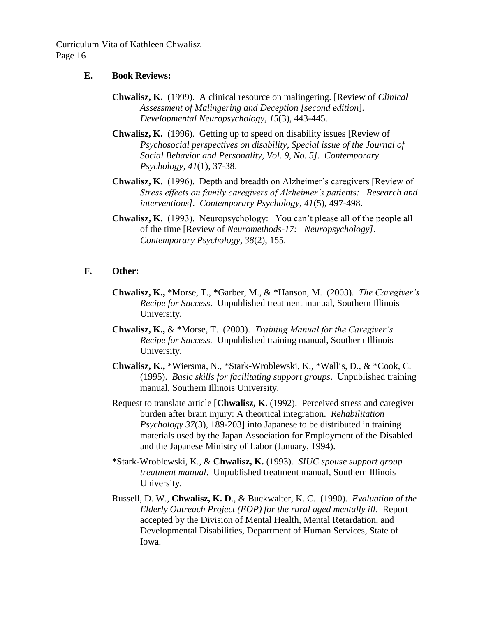- **E. Book Reviews:**
	- **Chwalisz, K.** (1999). A clinical resource on malingering. [Review of *Clinical Assessment of Malingering and Deception [second edition*]. *Developmental Neuropsychology, 15*(3), 443-445.
	- **Chwalisz, K.** (1996). Getting up to speed on disability issues [Review of *Psychosocial perspectives on disability, Special issue of the Journal of Social Behavior and Personality, Vol. 9, No. 5]. Contemporary Psychology, 41*(1), 37-38.
	- **Chwalisz, K.** (1996). Depth and breadth on Alzheimer's caregivers [Review of *Stress effects on family caregivers of Alzheimer's patients: Research and interventions]. Contemporary Psychology, 41*(5), 497-498.
	- **Chwalisz, K.** (1993). Neuropsychology: You can't please all of the people all of the time [Review of *Neuromethods-17: Neuropsychology]. Contemporary Psychology, 38*(2), 155.

## **F. Other:**

- **Chwalisz, K.,** \*Morse, T., \*Garber, M., & \*Hanson, M. (2003). *The Caregiver's Recipe for Success*. Unpublished treatment manual, Southern Illinois University.
- **Chwalisz, K.,** & \*Morse, T. (2003). *Training Manual for the Caregiver's Recipe for Success.* Unpublished training manual, Southern Illinois University.
- **Chwalisz, K.,** \*Wiersma, N., \*Stark-Wroblewski, K., \*Wallis, D., & \*Cook, C. (1995). *Basic skills for facilitating support groups*. Unpublished training manual, Southern Illinois University.
- Request to translate article [**Chwalisz, K.** (1992). Perceived stress and caregiver burden after brain injury: A theortical integration. *Rehabilitation Psychology 37*(3), 189-203] into Japanese to be distributed in training materials used by the Japan Association for Employment of the Disabled and the Japanese Ministry of Labor (January, 1994).
- \*Stark-Wroblewski, K., & **Chwalisz, K.** (1993). *SIUC spouse support group treatment manual*. Unpublished treatment manual, Southern Illinois University.
- Russell, D. W., **Chwalisz, K. D**., & Buckwalter, K. C. (1990). *Evaluation of the Elderly Outreach Project (EOP) for the rural aged mentally ill*. Report accepted by the Division of Mental Health, Mental Retardation, and Developmental Disabilities, Department of Human Services, State of Iowa.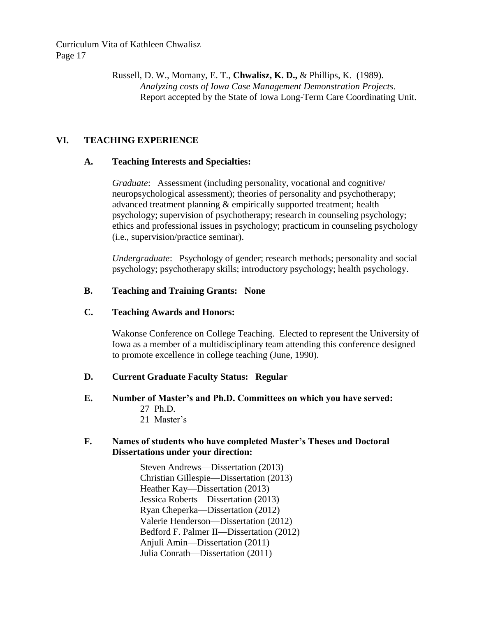> Russell, D. W., Momany, E. T., **Chwalisz, K. D.,** & Phillips, K. (1989). *Analyzing costs of Iowa Case Management Demonstration Projects*. Report accepted by the State of Iowa Long-Term Care Coordinating Unit.

## **VI. TEACHING EXPERIENCE**

#### **A. Teaching Interests and Specialties:**

*Graduate*: Assessment (including personality, vocational and cognitive/ neuropsychological assessment); theories of personality and psychotherapy; advanced treatment planning & empirically supported treatment; health psychology; supervision of psychotherapy; research in counseling psychology; ethics and professional issues in psychology; practicum in counseling psychology (i.e., supervision/practice seminar).

*Undergraduate*: Psychology of gender; research methods; personality and social psychology; psychotherapy skills; introductory psychology; health psychology.

### **B. Teaching and Training Grants: None**

### **C. Teaching Awards and Honors:**

Wakonse Conference on College Teaching. Elected to represent the University of Iowa as a member of a multidisciplinary team attending this conference designed to promote excellence in college teaching (June, 1990).

### **D. Current Graduate Faculty Status: Regular**

- **E. Number of Master's and Ph.D. Committees on which you have served:**
	- 27 Ph.D.
	- 21 Master's

### **F. Names of students who have completed Master's Theses and Doctoral Dissertations under your direction:**

Steven Andrews—Dissertation (2013) Christian Gillespie—Dissertation (2013) Heather Kay—Dissertation (2013) Jessica Roberts—Dissertation (2013) Ryan Cheperka—Dissertation (2012) Valerie Henderson—Dissertation (2012) Bedford F. Palmer II—Dissertation (2012) Anjuli Amin—Dissertation (2011) Julia Conrath—Dissertation (2011)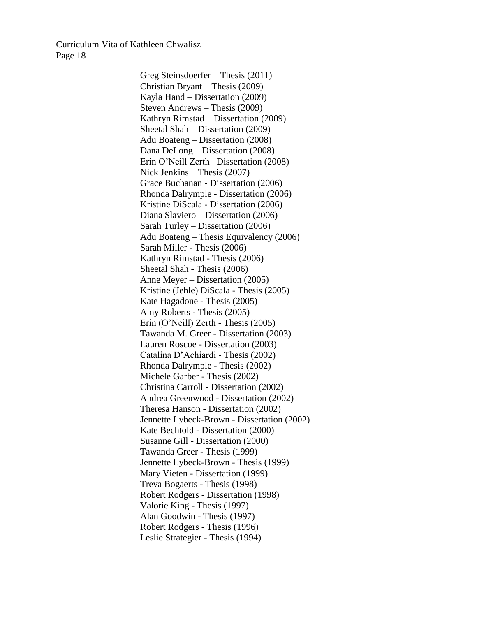> Greg Steinsdoerfer—Thesis (2011) Christian Bryant—Thesis (2009) Kayla Hand – Dissertation (2009) Steven Andrews – Thesis (2009) Kathryn Rimstad – Dissertation (2009) Sheetal Shah – Dissertation (2009) Adu Boateng – Dissertation (2008) Dana DeLong – Dissertation (2008) Erin O'Neill Zerth –Dissertation (2008) Nick Jenkins – Thesis (2007) Grace Buchanan - Dissertation (2006) Rhonda Dalrymple - Dissertation (2006) Kristine DiScala - Dissertation (2006) Diana Slaviero – Dissertation (2006) Sarah Turley – Dissertation (2006) Adu Boateng – Thesis Equivalency (2006) Sarah Miller - Thesis (2006) Kathryn Rimstad - Thesis (2006) Sheetal Shah - Thesis (2006) Anne Meyer – Dissertation (2005) Kristine (Jehle) DiScala - Thesis (2005) Kate Hagadone - Thesis (2005) Amy Roberts - Thesis (2005) Erin (O'Neill) Zerth - Thesis (2005) Tawanda M. Greer - Dissertation (2003) Lauren Roscoe - Dissertation (2003) Catalina D'Achiardi - Thesis (2002) Rhonda Dalrymple - Thesis (2002) Michele Garber - Thesis (2002) Christina Carroll - Dissertation (2002) Andrea Greenwood - Dissertation (2002) Theresa Hanson - Dissertation (2002) Jennette Lybeck-Brown - Dissertation (2002) Kate Bechtold - Dissertation (2000) Susanne Gill - Dissertation (2000) Tawanda Greer - Thesis (1999) Jennette Lybeck-Brown - Thesis (1999) Mary Vieten - Dissertation (1999) Treva Bogaerts - Thesis (1998) Robert Rodgers - Dissertation (1998) Valorie King - Thesis (1997) Alan Goodwin - Thesis (1997) Robert Rodgers - Thesis (1996) Leslie Strategier - Thesis (1994)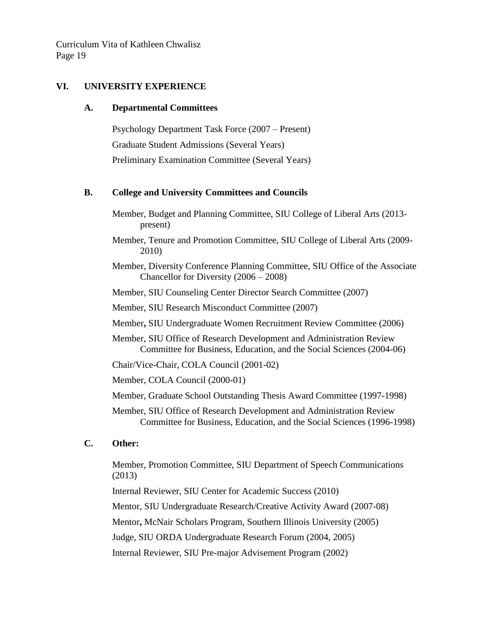### **VI. UNIVERSITY EXPERIENCE**

#### **A. Departmental Committees**

Psychology Department Task Force (2007 – Present) Graduate Student Admissions (Several Years) Preliminary Examination Committee (Several Years)

### **B. College and University Committees and Councils**

- Member, Budget and Planning Committee, SIU College of Liberal Arts (2013 present)
- Member, Tenure and Promotion Committee, SIU College of Liberal Arts (2009- 2010)
- Member, Diversity Conference Planning Committee, SIU Office of the Associate Chancellor for Diversity (2006 – 2008)
- Member, SIU Counseling Center Director Search Committee (2007)
- Member, SIU Research Misconduct Committee (2007)
- Member**,** SIU Undergraduate Women Recruitment Review Committee (2006)
- Member, SIU Office of Research Development and Administration Review Committee for Business, Education, and the Social Sciences (2004-06)
- Chair/Vice-Chair, COLA Council (2001-02)

Member, COLA Council (2000-01)

Member, Graduate School Outstanding Thesis Award Committee (1997-1998)

Member, SIU Office of Research Development and Administration Review Committee for Business, Education, and the Social Sciences (1996-1998)

### **C. Other:**

Member, Promotion Committee, SIU Department of Speech Communications (2013)

Internal Reviewer, SIU Center for Academic Success (2010)

Mentor, SIU Undergraduate Research/Creative Activity Award (2007-08)

Mentor**,** McNair Scholars Program, Southern Illinois University (2005)

Judge, SIU ORDA Undergraduate Research Forum (2004, 2005)

Internal Reviewer, SIU Pre-major Advisement Program (2002)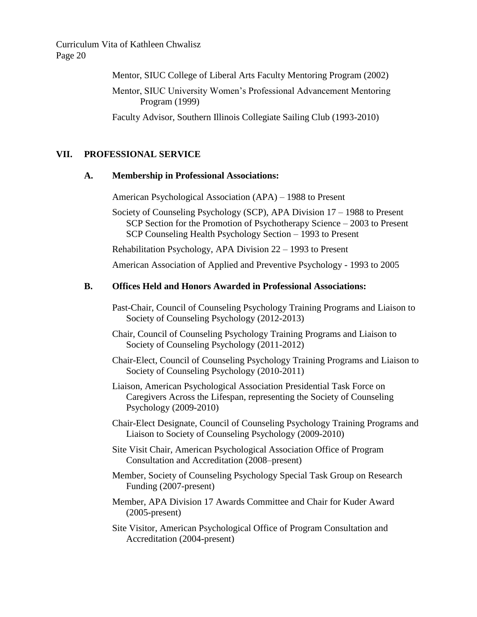Mentor, SIUC College of Liberal Arts Faculty Mentoring Program (2002)

Mentor, SIUC University Women's Professional Advancement Mentoring Program (1999)

Faculty Advisor, Southern Illinois Collegiate Sailing Club (1993-2010)

## **VII. PROFESSIONAL SERVICE**

#### **A. Membership in Professional Associations:**

American Psychological Association (APA) – 1988 to Present

Society of Counseling Psychology (SCP), APA Division 17 – 1988 to Present SCP Section for the Promotion of Psychotherapy Science – 2003 to Present SCP Counseling Health Psychology Section – 1993 to Present

Rehabilitation Psychology, APA Division 22 – 1993 to Present

American Association of Applied and Preventive Psychology - 1993 to 2005

#### **B. Offices Held and Honors Awarded in Professional Associations:**

- Past-Chair, Council of Counseling Psychology Training Programs and Liaison to Society of Counseling Psychology (2012-2013)
- Chair, Council of Counseling Psychology Training Programs and Liaison to Society of Counseling Psychology (2011-2012)
- Chair-Elect, Council of Counseling Psychology Training Programs and Liaison to Society of Counseling Psychology (2010-2011)
- Liaison, American Psychological Association Presidential Task Force on Caregivers Across the Lifespan, representing the Society of Counseling Psychology (2009-2010)
- Chair-Elect Designate, Council of Counseling Psychology Training Programs and Liaison to Society of Counseling Psychology (2009-2010)
- Site Visit Chair, American Psychological Association Office of Program Consultation and Accreditation (2008–present)
- Member, Society of Counseling Psychology Special Task Group on Research Funding (2007-present)
- Member, APA Division 17 Awards Committee and Chair for Kuder Award (2005-present)
- Site Visitor, American Psychological Office of Program Consultation and Accreditation (2004-present)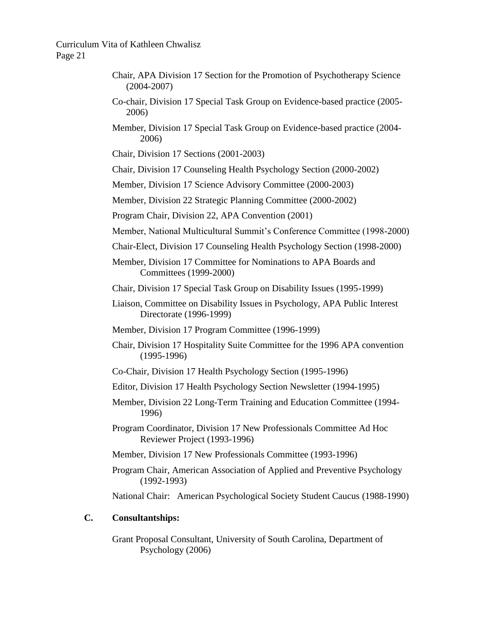- Chair, APA Division 17 Section for the Promotion of Psychotherapy Science (2004-2007)
- Co-chair, Division 17 Special Task Group on Evidence-based practice (2005- 2006)
- Member, Division 17 Special Task Group on Evidence-based practice (2004- 2006)

Chair, Division 17 Sections (2001-2003)

Chair, Division 17 Counseling Health Psychology Section (2000-2002)

Member, Division 17 Science Advisory Committee (2000-2003)

Member, Division 22 Strategic Planning Committee (2000-2002)

Program Chair, Division 22, APA Convention (2001)

- Member, National Multicultural Summit's Conference Committee (1998-2000)
- Chair-Elect, Division 17 Counseling Health Psychology Section (1998-2000)
- Member, Division 17 Committee for Nominations to APA Boards and Committees (1999-2000)
- Chair, Division 17 Special Task Group on Disability Issues (1995-1999)
- Liaison, Committee on Disability Issues in Psychology, APA Public Interest Directorate (1996-1999)
- Member, Division 17 Program Committee (1996-1999)
- Chair, Division 17 Hospitality Suite Committee for the 1996 APA convention (1995-1996)
- Co-Chair, Division 17 Health Psychology Section (1995-1996)
- Editor, Division 17 Health Psychology Section Newsletter (1994-1995)
- Member, Division 22 Long-Term Training and Education Committee (1994- 1996)
- Program Coordinator, Division 17 New Professionals Committee Ad Hoc Reviewer Project (1993-1996)
- Member, Division 17 New Professionals Committee (1993-1996)
- Program Chair, American Association of Applied and Preventive Psychology (1992-1993)

National Chair: American Psychological Society Student Caucus (1988-1990)

### **C. Consultantships:**

Grant Proposal Consultant, University of South Carolina, Department of Psychology (2006)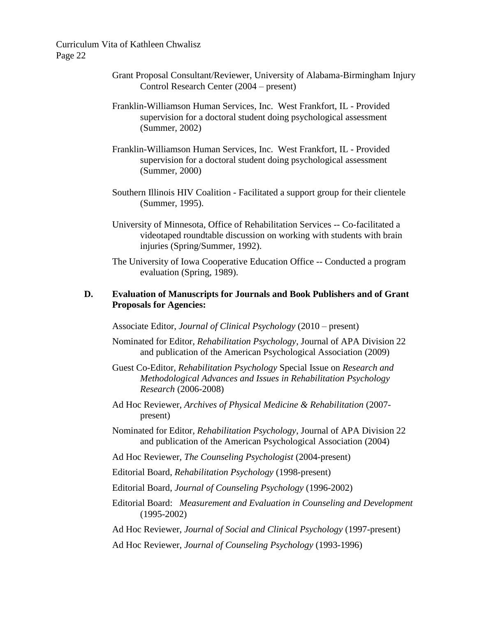- Grant Proposal Consultant/Reviewer, University of Alabama-Birmingham Injury Control Research Center (2004 – present)
- Franklin-Williamson Human Services, Inc. West Frankfort, IL Provided supervision for a doctoral student doing psychological assessment (Summer, 2002)
- Franklin-Williamson Human Services, Inc. West Frankfort, IL Provided supervision for a doctoral student doing psychological assessment (Summer, 2000)
- Southern Illinois HIV Coalition Facilitated a support group for their clientele (Summer, 1995).
- University of Minnesota, Office of Rehabilitation Services -- Co-facilitated a videotaped roundtable discussion on working with students with brain injuries (Spring/Summer, 1992).
- The University of Iowa Cooperative Education Office -- Conducted a program evaluation (Spring, 1989).

# **D. Evaluation of Manuscripts for Journals and Book Publishers and of Grant Proposals for Agencies:**

Associate Editor, *Journal of Clinical Psychology* (2010 – present)

- Nominated for Editor, *Rehabilitation Psychology*, Journal of APA Division 22 and publication of the American Psychological Association (2009)
- Guest Co-Editor, *Rehabilitation Psychology* Special Issue on *Research and Methodological Advances and Issues in Rehabilitation Psychology Research* (2006-2008)
- Ad Hoc Reviewer, *Archives of Physical Medicine & Rehabilitation* (2007 present)
- Nominated for Editor, *Rehabilitation Psychology*, Journal of APA Division 22 and publication of the American Psychological Association (2004)
- Ad Hoc Reviewer, *The Counseling Psychologist* (2004-present)
- Editorial Board, *Rehabilitation Psychology* (1998-present)
- Editorial Board, *Journal of Counseling Psychology* (1996-2002)
- Editorial Board: *Measurement and Evaluation in Counseling and Development*  (1995-2002)
- Ad Hoc Reviewer, *Journal of Social and Clinical Psychology* (1997-present)
- Ad Hoc Reviewer, *Journal of Counseling Psychology* (1993-1996)